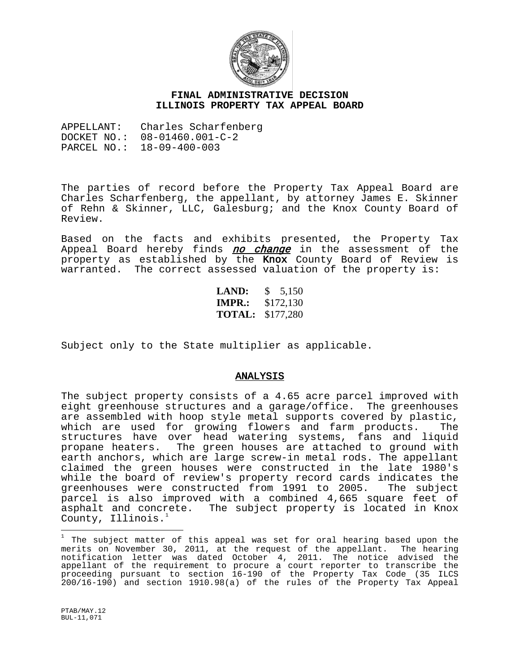

## **FINAL ADMINISTRATIVE DECISION ILLINOIS PROPERTY TAX APPEAL BOARD**

APPELLANT: Charles Scharfenberg DOCKET NO.: 08-01460.001-C-2 PARCEL NO.: 18-09-400-003

The parties of record before the Property Tax Appeal Board are Charles Scharfenberg, the appellant, by attorney James E. Skinner of Rehn & Skinner, LLC, Galesburg; and the Knox County Board of Review.

Based on the facts and exhibits presented, the Property Tax Appeal Board hereby finds no change in the assessment of the property as established by the Knox County Board of Review is warranted. The correct assessed valuation of the property is:

> **LAND:** \$ 5,150 **IMPR.:** \$172,130 **TOTAL:** \$177,280

Subject only to the State multiplier as applicable.

## ANALYSIS

The subject property consists of a 4.65 acre parcel improved with eight greenhouse structures and a garage/office. The greenhouses are assembled with hoop style metal supports covered by plastic,<br>which are used for growing flowers and farm products. The which are used for growing flowers and farm products. structures have over head watering systems, fans and liquid propane heaters. The green houses are attached to ground with earth anchors, which are large screw-in metal rods. The appellant claimed the green houses were constructed in the late 1980's while the board of review's property record cards indicates the greenhouses were constructed from 1991 to 2005. The subject parcel is also improved with a combined 4,665 square feet of asphalt and concrete. The subject property is located in Knox County, Illinois.

<span id="page-0-0"></span> 1 The subject matter of this appeal was set for oral hearing based upon the merits on November 30, 2011, at the request of the appellant. The hearing notification letter was dated October 4, 2011. The notice advised the appellant of the requirement to procure a court reporter to transcribe the proceeding pursuant to section 16-190 of the Property Tax Code (35 ILCS 200/16-190) and section 1910.98(a) of the rules of the Property Tax Appeal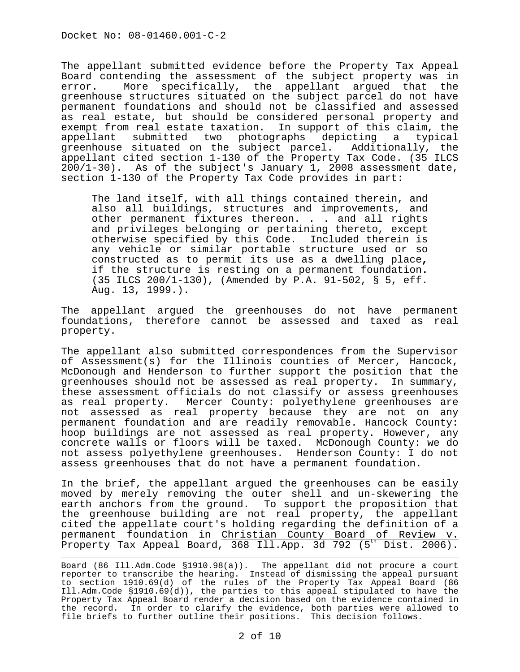The appellant submitted evidence before the Property Tax Appeal Board contending the assessment of the subject property was in<br>error. More specifically, the appellant arqued that the More specifically, the appellant argued that the greenhouse structures situated on the subject parcel do not have permanent foundations and should not be classified and assessed as real estate, but should be considered personal property and exempt from real estate taxation. In support of this claim, the appellant submitted two photographs depicting a typical greenhouse situated on the subject parcel. Additionally, the appellant cited section 1-130 of the Property Tax Code. (35 ILCS 200/1-30). As of the subject's January 1, 2008 assessment date, section 1-130 of the Property Tax Code provides in part:

The land itself, with all things contained therein, and also all buildings, structures and improvements, and other permanent fixtures thereon. . . and all rights and privileges belonging or pertaining thereto, except otherwise specified by this Code. Included therein is any vehicle or similar portable structure used or so constructed as to permit its use as a dwelling place, if the structure is resting on a permanent foundation. (35 ILCS 200/1-130), (Amended by P.A. 91-502, § 5, eff. Aug. 13, 1999.).

The appellant argued the greenhouses do not have permanent foundations, therefore cannot be assessed and taxed as real property.

The appellant also submitted correspondences from the Supervisor of Assessment(s) for the Illinois counties of Mercer, Hancock, McDonough and Henderson to further support the position that the greenhouses should not be assessed as real property. In summary, these assessment officials do not classify or assess greenhouses as real property. Mercer County: polyethylene greenhouses are not assessed as real property because they are not on any permanent foundation and are readily removable. Hancock County: hoop buildings are not assessed as real property. However, any concrete walls or floors will be taxed. McDonough County: we do not assess polyethylene greenhouses. Henderson County: I do not assess greenhouses that do not have a permanent foundation.

In the brief, the appellant argued the greenhouses can be easily moved by merely removing the outer shell and un-skewering the earth anchors from the ground. To support the proposition that the greenhouse building are not real property, the appellant cited the appellate court's holding regarding the definition of a permanent foundation in Christian County Board of Review v. <u>Property Tax Appeal Board</u>, 368 Ill.App. 3d 792 (5<sup>th</sup> Dist. 2006).

Board (86 Ill.Adm.Code §1910.98(a)). The appellant did not procure a court reporter to transcribe the hearing. Instead of dismissing the appeal pursuant to section 1910.69(d) of the rules of the Property Tax Appeal Board (86 Ill.Adm.Code §1910.69(d)), the parties to this appeal stipulated to have the Property Tax Appeal Board render a decision based on the evidence contained in the record. In order to clarify the evidence, both parties were allowed to file briefs to further outline their positions. This decision follows.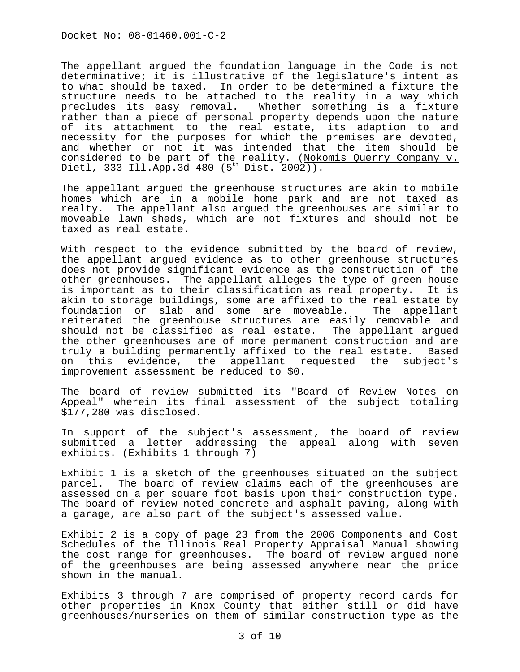The appellant argued the foundation language in the Code is not determinative; it is illustrative of the legislature's intent as to what should be taxed. In order to be determined a fixture the structure needs to be attached to the reality in a way which precludes its easy removal. Whether something is a fixture rather than a piece of personal property depends upon the nature of its attachment to the real estate, its adaption to and<br>necessity for the purposes for which the premises are devoted, and whether or not it was intended that the item should be considered to be part of the reality. (Nokomis Querry Company v.  $Dietl$ , 333 Ill.App.3d 480 (5<sup>th</sup> Dist. 2002)).

The appellant argued the greenhouse structures are akin to mobile homes which are in a mobile home park and are not taxed as realty. The appellant also argued the greenhouses are similar to moveable lawn sheds, which are not fixtures and should not be taxed as real estate.

With respect to the evidence submitted by the board of review, the appellant argued evidence as to other greenhouse structures does not provide significant evidence as the construction of the other greenhouses. The appellant alleges the type of green house is important as to their classification as real property. It is akin to storage buildings, some are affixed to the real estate by foundation or slab and some are moveable. The appellant reiterated the greenhouse structures are easily removable and should not be classified as real estate. The appellant argued the other greenhouses are of more permanent construction and are truly a building permanently affixed to the real estate. Based this evidence, the appellant requested the subject's improvement assessment be reduced to \$0.

The board of review submitted its "Board of Review Notes on Appeal" wherein its final assessment of the subject totaling \$177,280 was disclosed.

In support of the subject's assessment, the board of review submitted a letter addressing the appeal along with seven exhibits. (Exhibits 1 through 7)

Exhibit 1 is a sketch of the greenhouses situated on the subject parcel. The board of review claims each of the greenhouses are assessed on a per square foot basis upon their construction type. The board of review noted concrete and asphalt paving, along with a garage, are also part of the subject's assessed value.

Exhibit 2 is a copy of page 23 from the 2006 Components and Cost Schedules of the Illinois Real Property Appraisal Manual showing the cost range for greenhouses. The board of review argued none of the greenhouses are being assessed anywhere near the price shown in the manual.

Exhibits 3 through 7 are comprised of property record cards for other properties in Knox County that either still or did have greenhouses/nurseries on them of similar construction type as the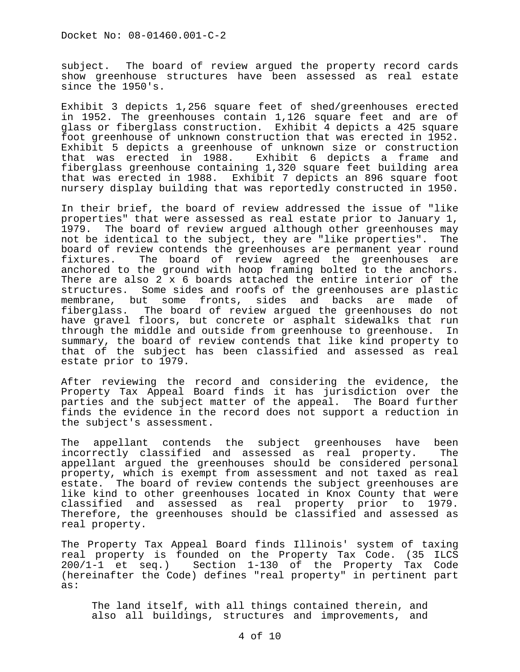subject. The board of review argued the property record cards show greenhouse structures have been assessed as real estate since the 1950's.

Exhibit 3 depicts 1,256 square feet of shed/greenhouses erected in 1952. The greenhouses contain 1,126 square feet and are of glass or fiberglass construction. Exhibit 4 depicts a 425 square foot greenhouse of unknown construction that was erected in 1952. Exhibit 5 depicts a greenhouse of unknown size or construction<br>that was erected in 1988. Exhibit 6 depicts a frame and Exhibit 6 depicts a frame and fiberglass greenhouse containing 1,320 square feet building area that was erected in 1988. Exhibit 7 depicts an 896 square foot nursery display building that was reportedly constructed in 1950.

In their brief, the board of review addressed the issue of "like properties" that were assessed as real estate prior to January 1, 1979. The board of review argued although other greenhouses may not be identical to the subject, they are "like properties". The board of review contends the greenhouses are permanent year round<br>fixtures. The board of review agreed the greenhouses are The board of review agreed the greenhouses are anchored to the ground with hoop framing bolted to the anchors. There are also 2 x 6 boards attached the entire interior of the structures. Some sides and roofs of the greenhouses are plastic membrane, but some fronts, sides and backs are made of fiberglass. The board of review argued the greenhouses do not have gravel floors, but concrete or asphalt sidewalks that run<br>through the middle and outside from greenhouse to greenhouse. In through the middle and outside from greenhouse to greenhouse. summary, the board of review contends that like kind property to that of the subject has been classified and assessed as real estate prior to 1979.

After reviewing the record and considering the evidence, the Property Tax Appeal Board finds it has jurisdiction over the parties and the subject matter of the appeal. The Board further finds the evidence in the record does not support a reduction in the subject's assessment.

The appellant contends the subject greenhouses have been<br>incorrectly classified and assessed as real property. The incorrectly classified and assessed as real property. appellant argued the greenhouses should be considered personal property, which is exempt from assessment and not taxed as real estate. The board of review contends the subject greenhouses are like kind to other greenhouses located in Knox County that were classified and assessed as real property prior to 1979. Therefore, the greenhouses should be classified and assessed as real property.

The Property Tax Appeal Board finds Illinois' system of taxing real property is founded on the Property Tax Code. (35 ILCS 200/1-1 et seq.) Section 1-130 of the Property Tax Code (hereinafter the Code) defines "real property" in pertinent part as:

The land itself, with all things contained therein, and also all buildings, structures and improvements, and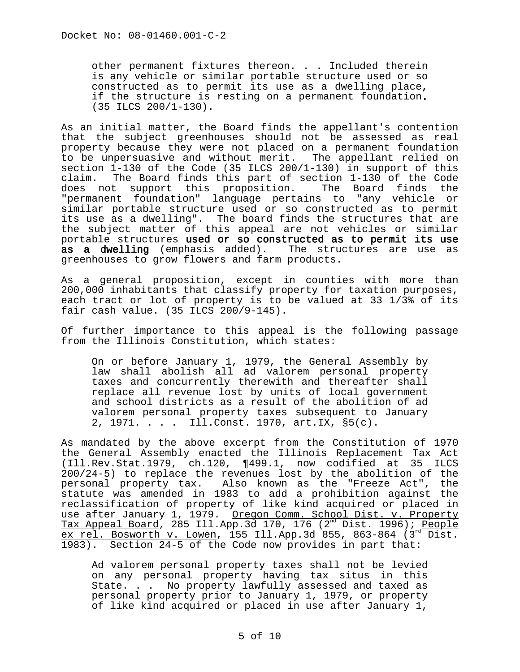other permanent fixtures thereon. . . Included therein is any vehicle or similar portable structure used or so constructed as to permit its use as a dwelling place**,**  if the structure is resting on a permanent foundation. (35 ILCS 200/1-130).

As an initial matter, the Board finds the appellant's contention that the subject greenhouses should not be assessed as real property because they were not placed on a permanent foundation to be unpersuasive and without merit. The appellant relied on section 1-130 of the Code (35 ILCS 200/1-130) in support of this claim. The Board finds this part of section 1-130 of the Code<br>does not support this proposition. The Board finds the does not support this proposition. "permanent foundation" language pertains to "any vehicle or similar portable structure used or so constructed as to permit its use as a dwelling". The board finds the structures that are the subject matter of this appeal are not vehicles or similar portable structures used or so constructed as to permit its use as a dwelling (emphasis added). The structures are use as greenhouses to grow flowers and farm products.

As a general proposition, except in counties with more than 200,000 inhabitants that classify property for taxation purposes, each tract or lot of property is to be valued at 33 1/3% of its fair cash value. (35 ILCS 200/9-145).

Of further importance to this appeal is the following passage from the Illinois Constitution, which states:

On or before January 1, 1979, the General Assembly by law shall abolish all ad valorem personal property taxes and concurrently therewith and thereafter shall replace all revenue lost by units of local government and school districts as a result of the abolition of ad valorem personal property taxes subsequent to January 2, 1971. . . . Ill.Const. 1970, art.IX, §5(c).

As mandated by the above excerpt from the Constitution of 1970 the General Assembly enacted the Illinois Replacement Tax Act (Ill.Rev.Stat.1979, ch.120, ¶499.1, now codified at 35 ILCS 200/24-5) to replace the revenues lost by the abolition of the personal property tax. Also known as the "Freeze Act", the statute was amended in 1983 to add a prohibition against the reclassification of property of like kind acquired or placed in use after January 1, 1979. Oregon Comm. School Dist. v. Property Tax Appeal Board, 285 Ill.App.3d 170, 176 (2<sup>nd</sup> Dist. 1996); <u>People</u> ex rel. Bosworth v. Lowen, 155 Ill.App.3d 855, 863-864 (3<sup>rd</sup> Dist. 1983). Section 24-5 of the Code now provides in part that:

Ad valorem personal property taxes shall not be levied on any personal property having tax situs in this State. . . No property lawfully assessed and taxed as personal property prior to January 1, 1979, or property of like kind acquired or placed in use after January 1,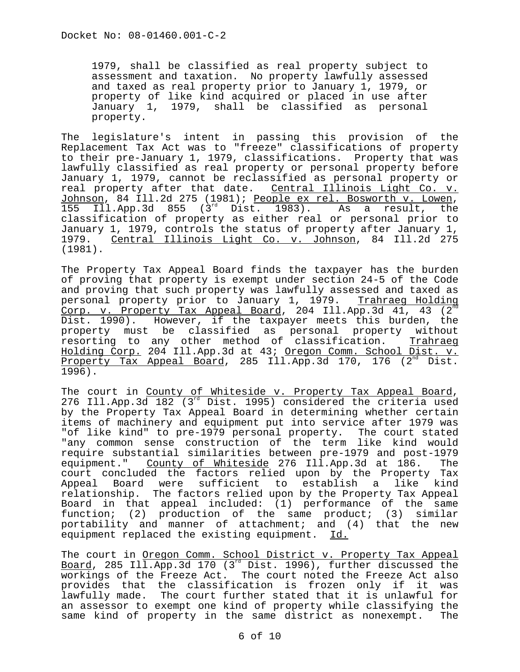1979, shall be classified as real property subject to assessment and taxation. No property lawfully assessed and taxed as real property prior to January 1, 1979, or property of like kind acquired or placed in use after January 1, 1979, shall be classified as personal property.

The legislature's intent in passing this provision of the Replacement Tax Act was to "freeze" classifications of property to their pre-January 1, 1979, classifications. Property that was lawfully classified as real property or personal property before January 1, 1979, cannot be reclassified as personal property or real property after that date. Central Illinois Light Co. v.<br>Johnson, 84 Ill.2d 275 (1981); People ex rel. Bosworth v. Lowen, Ibs Ill.App.3d 855 (3<sup>rd</sup> Dist. 1983). As a result, the classification of property as either real or personal prior to January 1, 1979, controls the status of property after January 1, 1979. Central Illinois Light Co. v. Johnson, 84 Ill.2d 275 (1981).

The Property Tax Appeal Board finds the taxpayer has the burden of proving that property is exempt under section 24-5 of the Code and proving that such property was lawfully assessed and taxed as<br>personal property prior to January 1, 1979. Trahraeg Holding personal property prior to January 1, 1979. Corp. v. Property Tax Appeal Board, 204 Ill.App.3d 41, 43  $(2^{nc}$ Dist. 1990). However, if the taxpayer meets this burden, the property must be classified as personal property without resorting to any other method of classification. <u>Trahraeq</u> Holding Corp. 204 Ill.App.3d at 43; Oregon Comm. School Dist. v. Property Tax Appeal Board, 285 Ill.App.3d 170, 176  $(2^{nd}$  Dist. 1996).

The court in County of Whiteside v. Property Tax Appeal Board, 276 Ill.App.3d 182 (3<sup>rd</sup> Dist. 1995) considered the criteria used by the Property Tax Appeal Board in determining whether certain items of machinery and equipment put into service after 1979 was "of like kind" to pre-1979 personal property. The court stated "any common sense construction of the term like kind would require substantial similarities between pre-1979 and post-1979 equipment." County of Whiteside 276 Ill.App.3d at 186. The court concluded the factors relied upon by the Property Tax Appeal Board were sufficient to establish a like kind relationship. The factors relied upon by the Property Tax Appeal Board in that appeal included: (1) performance of the same function; (2) production of the same product; (3) similar portability and manner of attachment; and (4) that the new equipment replaced the existing equipment. Id.

The court in Oregon Comm. School District v. Property Tax Appeal Board, 285 Ill.App.3d 170 (3 $^{rd}$  Dist. 1996), further discussed the workings of the Freeze Act. The court noted the Freeze Act also provides that the classification is frozen only if it was lawfully made. The court further stated that it is unlawful for an assessor to exempt one kind of property while classifying the same kind of property in the same district as nonexempt.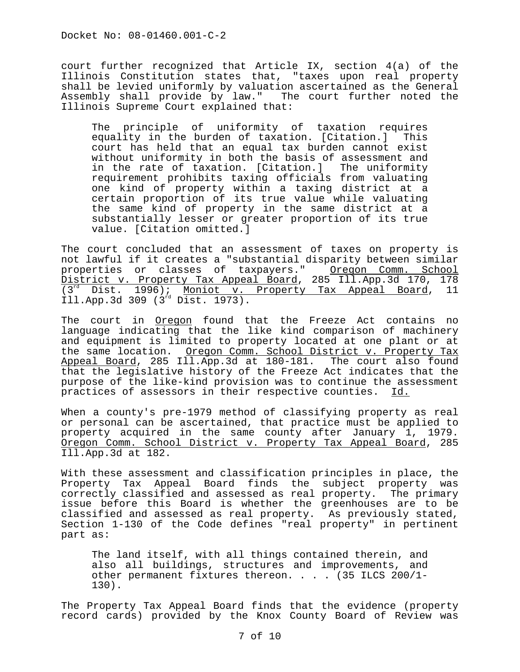court further recognized that Article IX, section 4(a) of the Illinois Constitution states that, "taxes upon real property shall be levied uniformly by valuation ascertained as the General Assembly shall provide by law." The court further noted the Illinois Supreme Court explained that:

The principle of uniformity of taxation requires equality in the burden of taxation. [Citation.] This court has held that an equal tax burden cannot exist without uniformity in both the basis of assessment and in the rate of taxation. [Citation.] The uniformity requirement prohibits taxing officials from valuating one kind of property within a taxing district at a certain proportion of its true value while valuating the same kind of property in the same district at a substantially lesser or greater proportion of its true value. [Citation omitted.]

The court concluded that an assessment of taxes on property is not lawful if it creates a "substantial disparity between similar properties or classes of taxpayers." Oregon Comm. School District v. Property Tax Appeal Board, 285 Ill.App.3d 170, 178<br>(3<sup>rd</sup> Dist. 1996); Moniot v. Property Tax Appeal Board, 11  $(3^{rd}$  Dist. 1996); Moniot v. Property Tax Appeal Board, Ill.App.3d 309 (3rd Dist. 1973).

The court in Oregon found that the Freeze Act contains no language indicating that the like kind comparison of machinery and equipment is limited to property located at one plant or at the same location. Oregon Comm. School District v. Property Tax Appeal Board, 285 Ill.App.3d at 180-181. The court also found that the legislative history of the Freeze Act indicates that the purpose of the like-kind provision was to continue the assessment<br>practices of assessors in their respective counties. Id. practices of assessors in their respective counties.

When a county's pre-1979 method of classifying property as real or personal can be ascertained, that practice must be applied to property acquired in the same county after January 1, 1979. Oregon Comm. School District v. Property Tax Appeal Board, 285 Ill.App.3d at 182.

With these assessment and classification principles in place, the Property Tax Appeal Board finds the subject property was correctly classified and assessed as real property. The primary issue before this Board is whether the greenhouses are to be classified and assessed as real property. As previously stated, Section 1-130 of the Code defines "real property" in pertinent part as:

The land itself, with all things contained therein, and also all buildings, structures and improvements, and other permanent fixtures thereon. . . . (35 ILCS 200/1- 130).

The Property Tax Appeal Board finds that the evidence (property record cards) provided by the Knox County Board of Review was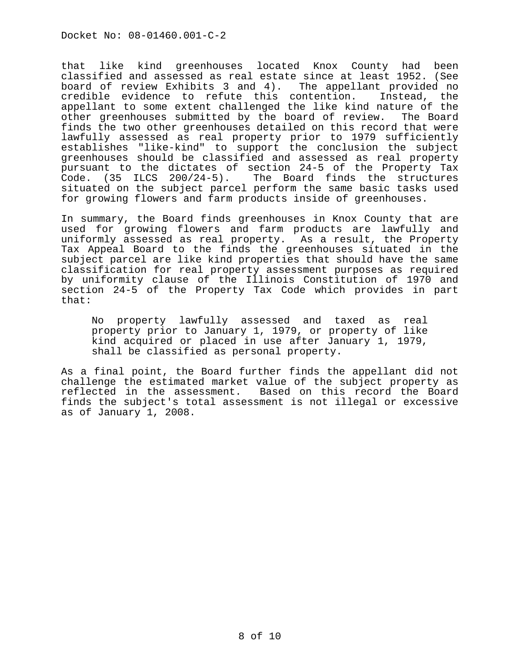that like kind greenhouses located Knox County had been classified and assessed as real estate since at least 1952. (See board of review Exhibits 3 and 4). The appellant provided no credible evidence to refute this contention. Instead, the appellant to some extent challenged the like kind nature of the<br>other greenhouses submitted by the board of review. The Board other greenhouses submitted by the board of review. finds the two other greenhouses detailed on this record that were lawfully assessed as real property prior to 1979 sufficiently establishes "like-kind" to support the conclusion the subject greenhouses should be classified and assessed as real property pursuant to the dictates of section 24-5 of the Property Tax Code. (35 ILCS 200/24-5). The Board finds the structures situated on the subject parcel perform the same basic tasks used for growing flowers and farm products inside of greenhouses.

In summary, the Board finds greenhouses in Knox County that are used for growing flowers and farm products are lawfully and uniformly assessed as real property. As a result, the Property Tax Appeal Board to the finds the greenhouses situated in the subject parcel are like kind properties that should have the same classification for real property assessment purposes as required by uniformity clause of the Illinois Constitution of 1970 and section 24-5 of the Property Tax Code which provides in part that:

No property lawfully assessed and taxed as real property prior to January 1, 1979, or property of like kind acquired or placed in use after January 1, 1979, shall be classified as personal property.

As a final point, the Board further finds the appellant did not challenge the estimated market value of the subject property as reflected in the assessment. Based on this record the Board finds the subject's total assessment is not illegal or excessive as of January 1, 2008.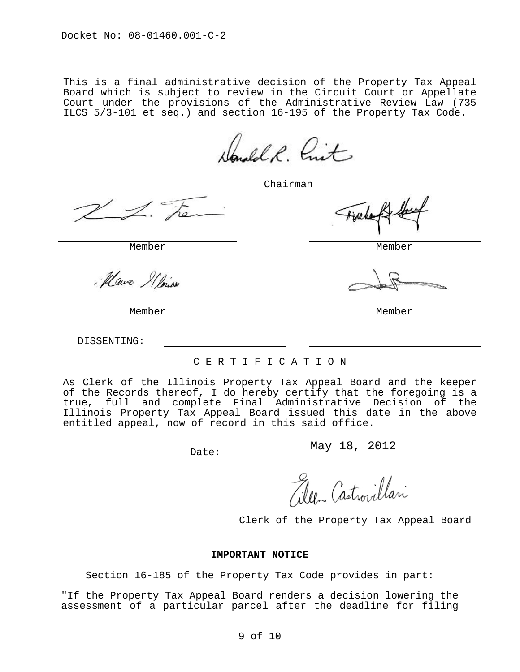This is a final administrative decision of the Property Tax Appeal Board which is subject to review in the Circuit Court or Appellate Court under the provisions of the Administrative Review Law (735 ILCS 5/3-101 et seq.) and section 16-195 of the Property Tax Code.

Sandol R. Criet

Chairman

Mais Il hive

DISSENTING:

## C E R T I F I C A T I O N

As Clerk of the Illinois Property Tax Appeal Board and the keeper of the Records thereof, I do hereby certify that the foregoing is a true, full and complete Final Administrative Decision of the Illinois Property Tax Appeal Board issued this date in the above entitled appeal, now of record in this said office.

Date: May 18, 2012

leen Castrovillari

Clerk of the Property Tax Appeal Board

## **IMPORTANT NOTICE**

Section 16-185 of the Property Tax Code provides in part:

"If the Property Tax Appeal Board renders a decision lowering the assessment of a particular parcel after the deadline for filing

Member Member

Member Member